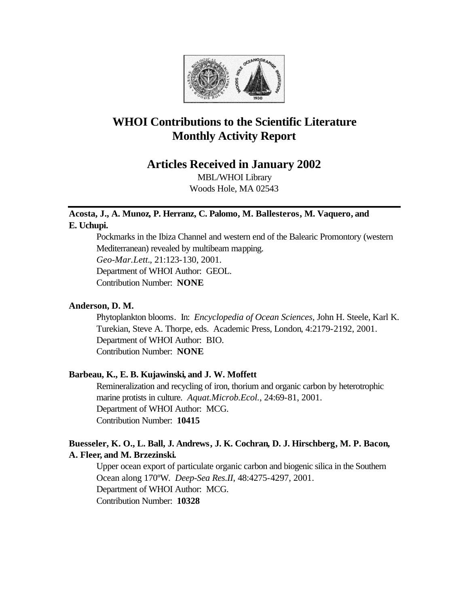

# **WHOI Contributions to the Scientific Literature Monthly Activity Report**

# **Articles Received in January 2002**

MBL/WHOI Library Woods Hole, MA 02543

# **Acosta, J., A. Munoz, P. Herranz, C. Palomo, M. Ballesteros, M. Vaquero, and E. Uchupi.**

Pockmarks in the Ibiza Channel and western end of the Balearic Promontory (western Mediterranean) revealed by multibeam mapping. *Geo-Mar.Lett.*, 21:123-130, 2001. Department of WHOI Author: GEOL. Contribution Number: **NONE**

# **Anderson, D. M.**

Phytoplankton blooms. In: *Encyclopedia of Ocean Sciences,* John H. Steele, Karl K. Turekian, Steve A. Thorpe, eds. Academic Press, London, 4:2179-2192, 2001. Department of WHOI Author: BIO. Contribution Number: **NONE**

# **Barbeau, K., E. B. Kujawinski, and J. W. Moffett**

Remineralization and recycling of iron, thorium and organic carbon by heterotrophic marine protists in culture. *Aquat.Microb.Ecol.*, 24:69-81, 2001. Department of WHOI Author: MCG. Contribution Number: **10415**

# **Buesseler, K. O., L. Ball, J. Andrews, J. K. Cochran, D. J. Hirschberg, M. P. Bacon, A. Fleer, and M. Brzezinski.**

Upper ocean export of particulate organic carbon and biogenic silica in the Southern Ocean along 170ºW. *Deep-Sea Res.II*, 48:4275-4297, 2001. Department of WHOI Author: MCG. Contribution Number: **10328**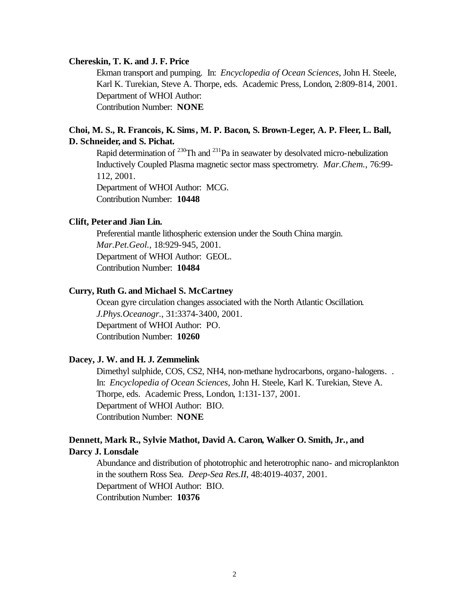# **Chereskin, T. K. and J. F. Price**

Ekman transport and pumping. In: *Encyclopedia of Ocean Sciences*, John H. Steele, Karl K. Turekian, Steve A. Thorpe, eds. Academic Press, London, 2:809-814, 2001. Department of WHOI Author: Contribution Number: **NONE**

# **Choi, M. S., R. Francois, K. Sims, M. P. Bacon, S. Brown-Leger, A. P. Fleer, L. Ball, D. Schneider, and S. Pichat.**

Rapid determination of  $^{230}$ Th and  $^{231}$ Pa in seawater by desolvated micro-nebulization Inductively Coupled Plasma magnetic sector mass spectrometry. *Mar.Chem.*, 76:99- 112, 2001. Department of WHOI Author: MCG. Contribution Number: **10448**

#### **Clift, Peter and Jian Lin.**

Preferential mantle lithospheric extension under the South China margin. *Mar.Pet.Geol.*, 18:929-945, 2001. Department of WHOI Author: GEOL. Contribution Number: **10484**

# **Curry, Ruth G. and Michael S. McCartney**

Ocean gyre circulation changes associated with the North Atlantic Oscillation. *J.Phys.Oceanogr.*, 31:3374-3400, 2001. Department of WHOI Author: PO. Contribution Number: **10260**

# **Dacey, J. W. and H. J. Zemmelink**

Dimethyl sulphide, COS, CS2, NH4, non-methane hydrocarbons, organo-halogens. . In: *Encyclopedia of Ocean Sciences*, John H. Steele, Karl K. Turekian, Steve A. Thorpe, eds. Academic Press, London, 1:131-137, 2001. Department of WHOI Author: BIO. Contribution Number: **NONE**

# **Dennett, Mark R., Sylvie Mathot, David A. Caron, Walker O. Smith, Jr., and Darcy J. Lonsdale**

Abundance and distribution of phototrophic and heterotrophic nano- and microplankton in the southern Ross Sea. *Deep-Sea Res.II*, 48:4019-4037, 2001. Department of WHOI Author: BIO. Contribution Number: **10376**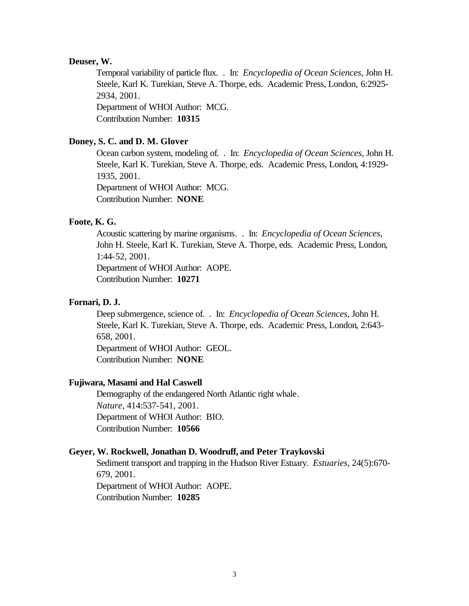# **Deuser, W.**

Temporal variability of particle flux. . In: *Encyclopedia of Ocean Sciences*, John H. Steele, Karl K. Turekian, Steve A. Thorpe, eds. Academic Press, London, 6:2925- 2934, 2001.

Department of WHOI Author: MCG. Contribution Number: **10315**

# **Doney, S. C. and D. M. Glover**

Ocean carbon system, modeling of. . In: *Encyclopedia of Ocean Sciences*, John H. Steele, Karl K. Turekian, Steve A. Thorpe, eds. Academic Press, London, 4:1929- 1935, 2001. Department of WHOI Author: MCG. Contribution Number: **NONE**

# **Foote, K. G.**

Acoustic scattering by marine organisms. . In: *Encyclopedia of Ocean Sciences*, John H. Steele, Karl K. Turekian, Steve A. Thorpe, eds. Academic Press, London, 1:44-52, 2001. Department of WHOI Author: AOPE.

Contribution Number: **10271**

# **Fornari, D. J.**

Deep submergence, science of. . In: *Encyclopedia of Ocean Sciences*, John H. Steele, Karl K. Turekian, Steve A. Thorpe, eds. Academic Press, London, 2:643- 658, 2001.

Department of WHOI Author: GEOL. Contribution Number: **NONE**

# **Fujiwara, Masami and Hal Caswell**

Demography of the endangered North Atlantic right whale. *Nature*, 414:537-541, 2001. Department of WHOI Author: BIO. Contribution Number: **10566**

# **Geyer, W. Rockwell, Jonathan D. Woodruff, and Peter Traykovski**

Sediment transport and trapping in the Hudson River Estuary. *Estuaries*, 24(5):670- 679, 2001. Department of WHOI Author: AOPE. Contribution Number: **10285**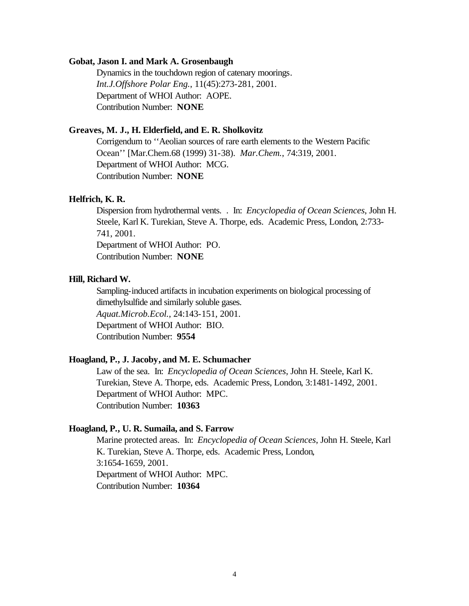# **Gobat, Jason I. and Mark A. Grosenbaugh**

Dynamics in the touchdown region of catenary moorings. *Int.J.Offshore Polar Eng.*, 11(45):273-281, 2001. Department of WHOI Author: AOPE. Contribution Number: **NONE**

# **Greaves, M. J., H. Elderfield, and E. R. Sholkovitz**

Corrigendum to ''Aeolian sources of rare earth elements to the Western Pacific Ocean'' [Mar.Chem.68 (1999) 31-38). *Mar.Chem.*, 74:319, 2001. Department of WHOI Author: MCG. Contribution Number: **NONE**

# **Helfrich, K. R.**

Dispersion from hydrothermal vents. . In: *Encyclopedia of Ocean Sciences*, John H. Steele, Karl K. Turekian, Steve A. Thorpe, eds. Academic Press, London, 2:733- 741, 2001.

Department of WHOI Author: PO. Contribution Number: **NONE**

#### **Hill, Richard W.**

Sampling-induced artifacts in incubation experiments on biological processing of dimethylsulfide and similarly soluble gases. *Aquat.Microb.Ecol.*, 24:143-151, 2001. Department of WHOI Author: BIO. Contribution Number: **9554**

# **Hoagland, P., J. Jacoby, and M. E. Schumacher**

Law of the sea. In: *Encyclopedia of Ocean Sciences*, John H. Steele, Karl K. Turekian, Steve A. Thorpe, eds. Academic Press, London, 3:1481-1492, 2001. Department of WHOI Author: MPC. Contribution Number: **10363**

# **Hoagland, P., U. R. Sumaila, and S. Farrow**

Marine protected areas. In: *Encyclopedia of Ocean Sciences*, John H. Steele, Karl K. Turekian, Steve A. Thorpe, eds. Academic Press, London, 3:1654-1659, 2001. Department of WHOI Author: MPC. Contribution Number: **10364**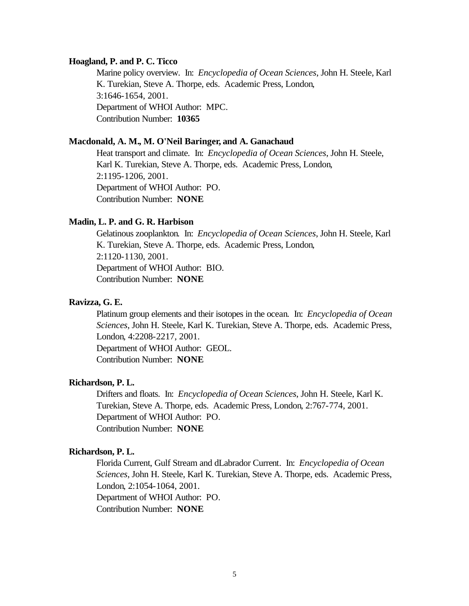# **Hoagland, P. and P. C. Ticco**

Marine policy overview. In: *Encyclopedia of Ocean Sciences*, John H. Steele, Karl K. Turekian, Steve A. Thorpe, eds. Academic Press, London, 3:1646-1654, 2001. Department of WHOI Author: MPC. Contribution Number: **10365**

#### **Macdonald, A. M., M. O'Neil Baringer, and A. Ganachaud**

Heat transport and climate. In: *Encyclopedia of Ocean Sciences*, John H. Steele, Karl K. Turekian, Steve A. Thorpe, eds. Academic Press, London, 2:1195-1206, 2001. Department of WHOI Author: PO. Contribution Number: **NONE**

### **Madin, L. P. and G. R. Harbison**

Gelatinous zooplankton. In: *Encyclopedia of Ocean Sciences*, John H. Steele, Karl K. Turekian, Steve A. Thorpe, eds. Academic Press, London, 2:1120-1130, 2001. Department of WHOI Author: BIO. Contribution Number: **NONE**

# **Ravizza, G. E.**

Platinum group elements and their isotopes in the ocean. In: *Encyclopedia of Ocean Sciences*, John H. Steele, Karl K. Turekian, Steve A. Thorpe, eds. Academic Press, London, 4:2208-2217, 2001.

Department of WHOI Author: GEOL. Contribution Number: **NONE**

#### **Richardson, P. L.**

Drifters and floats. In: *Encyclopedia of Ocean Sciences*, John H. Steele, Karl K. Turekian, Steve A. Thorpe, eds. Academic Press, London, 2:767-774, 2001. Department of WHOI Author: PO. Contribution Number: **NONE**

#### **Richardson, P. L.**

Florida Current, Gulf Stream and dLabrador Current. In: *Encyclopedia of Ocean Sciences*, John H. Steele, Karl K. Turekian, Steve A. Thorpe, eds. Academic Press, London, 2:1054-1064, 2001. Department of WHOI Author: PO. Contribution Number: **NONE**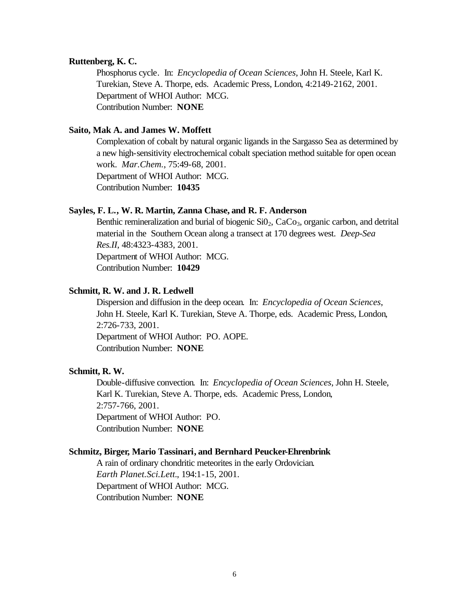### **Ruttenberg, K. C.**

Phosphorus cycle. In: *Encyclopedia of Ocean Sciences*, John H. Steele, Karl K. Turekian, Steve A. Thorpe, eds. Academic Press, London, 4:2149-2162, 2001. Department of WHOI Author: MCG. Contribution Number: **NONE**

# **Saito, Mak A. and James W. Moffett**

Complexation of cobalt by natural organic ligands in the Sargasso Sea as determined by a new high-sensitivity electrochemical cobalt speciation method suitable for open ocean work. *Mar.Chem.*, 75:49-68, 2001. Department of WHOI Author: MCG. Contribution Number: **10435**

# **Sayles, F. L., W. R. Martin, Zanna Chase, and R. F. Anderson**

Benthic remineralization and burial of biogenic  $SiO<sub>2</sub>$ ,  $CaCo<sub>3</sub>$ , organic carbon, and detrital material in the Southern Ocean along a transect at 170 degrees west. *Deep-Sea Res.II*, 48:4323-4383, 2001. Department of WHOI Author: MCG. Contribution Number: **10429**

# **Schmitt, R. W. and J. R. Ledwell**

Dispersion and diffusion in the deep ocean. In: *Encyclopedia of Ocean Sciences*, John H. Steele, Karl K. Turekian, Steve A. Thorpe, eds. Academic Press, London, 2:726-733, 2001.

Department of WHOI Author: PO. AOPE. Contribution Number: **NONE**

# **Schmitt, R. W.**

Double-diffusive convection. In: *Encyclopedia of Ocean Sciences*, John H. Steele, Karl K. Turekian, Steve A. Thorpe, eds. Academic Press, London, 2:757-766, 2001. Department of WHOI Author: PO. Contribution Number: **NONE**

#### **Schmitz, Birger, Mario Tassinari, and Bernhard Peucker-Ehrenbrink**

A rain of ordinary chondritic meteorites in the early Ordovician. *Earth Planet.Sci.Lett.*, 194:1-15, 2001. Department of WHOI Author: MCG. Contribution Number: **NONE**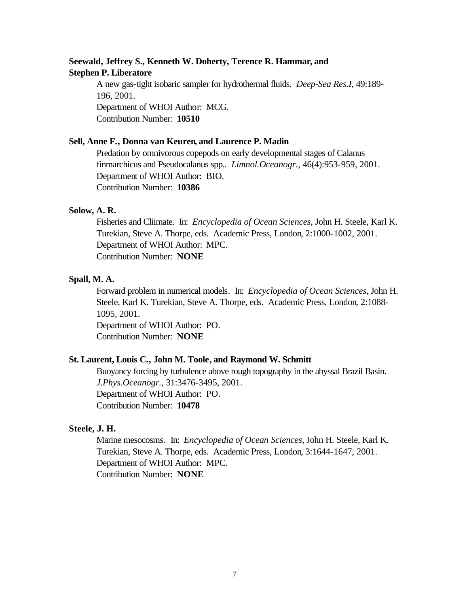# **Seewald, Jeffrey S., Kenneth W. Doherty, Terence R. Hammar, and Stephen P. Liberatore**

A new gas-tight isobaric sampler for hydrothermal fluids. *Deep-Sea Res.I*, 49:189- 196, 2001. Department of WHOI Author: MCG. Contribution Number: **10510**

# **Sell, Anne F., Donna van Keuren, and Laurence P. Madin**

Predation by omnivorous copepods on early developmental stages of Calanus finmarchicus and Pseudocalanus spp.. *Limnol.Oceanogr.*, 46(4):953-959, 2001. Department of WHOI Author: BIO. Contribution Number: **10386**

#### **Solow, A. R.**

Fisheries and Cliimate. In: *Encyclopedia of Ocean Sciences*, John H. Steele, Karl K. Turekian, Steve A. Thorpe, eds. Academic Press, London, 2:1000-1002, 2001. Department of WHOI Author: MPC. Contribution Number: **NONE**

# **Spall, M. A.**

Forward problem in numerical models. In: *Encyclopedia of Ocean Sciences*, John H. Steele, Karl K. Turekian, Steve A. Thorpe, eds. Academic Press, London, 2:1088- 1095, 2001.

Department of WHOI Author: PO. Contribution Number: **NONE**

# **St. Laurent, Louis C., John M. Toole, and Raymond W. Schmitt**

Buoyancy forcing by turbulence above rough topography in the abyssal Brazil Basin. *J.Phys.Oceanogr.*, 31:3476-3495, 2001. Department of WHOI Author: PO. Contribution Number: **10478**

# **Steele, J. H.**

Marine mesocosms. In: *Encyclopedia of Ocean Sciences*, John H. Steele, Karl K. Turekian, Steve A. Thorpe, eds. Academic Press, London, 3:1644-1647, 2001. Department of WHOI Author: MPC. Contribution Number: **NONE**